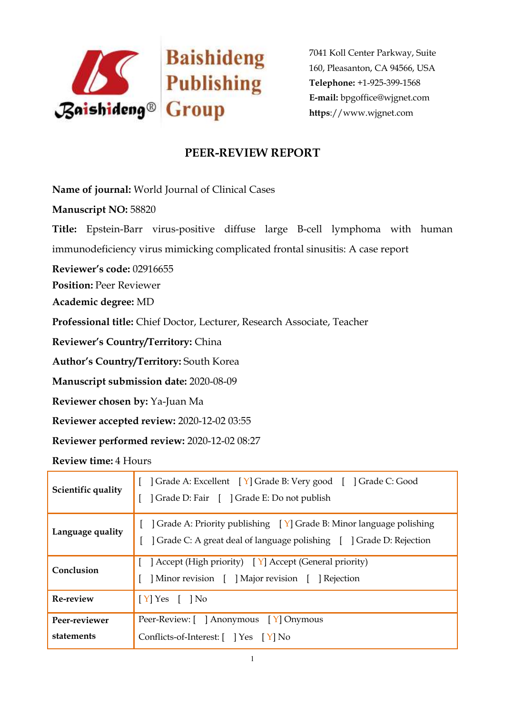

## **PEER-REVIEW REPORT**

**Name of journal:** World Journal of Clinical Cases

**Manuscript NO:** 58820

**Title:** Epstein-Barr virus-positive diffuse large B-cell lymphoma with human immunodeficiency virus mimicking complicated frontal sinusitis: A case report

**Reviewer's code:** 02916655

**Position:** Peer Reviewer

**Academic degree:** MD

**Professional title:** Chief Doctor, Lecturer, Research Associate, Teacher

**Reviewer's Country/Territory:** China

**Author's Country/Territory:** South Korea

**Manuscript submission date:** 2020-08-09

**Reviewer chosen by:** Ya-Juan Ma

**Reviewer accepted review:** 2020-12-02 03:55

**Reviewer performed review:** 2020-12-02 08:27

**Review time:** 4 Hours

| Scientific quality          | Crade A: Excellent [Y] Grade B: Very good [ ] Grade C: Good<br>  Grade D: Fair   ] Grade E: Do not publish                                                     |
|-----------------------------|----------------------------------------------------------------------------------------------------------------------------------------------------------------|
| Language quality            | $\vert$ Grade A: Priority publishing $\vert Y \vert$ Grade B: Minor language polishing<br>] Grade C: A great deal of language polishing [ ] Grade D: Rejection |
| Conclusion                  | [ ] Accept (High priority) $[Y]$ Accept (General priority)<br>Minor revision [ ] Major revision [ ] Rejection                                                  |
| <b>Re-review</b>            | $[Y]$ Yes $[$ $]$ No                                                                                                                                           |
| Peer-reviewer<br>statements | Peer-Review: [ ] Anonymous [ Y] Onymous<br>Conflicts-of-Interest: [ ] Yes [Y] No                                                                               |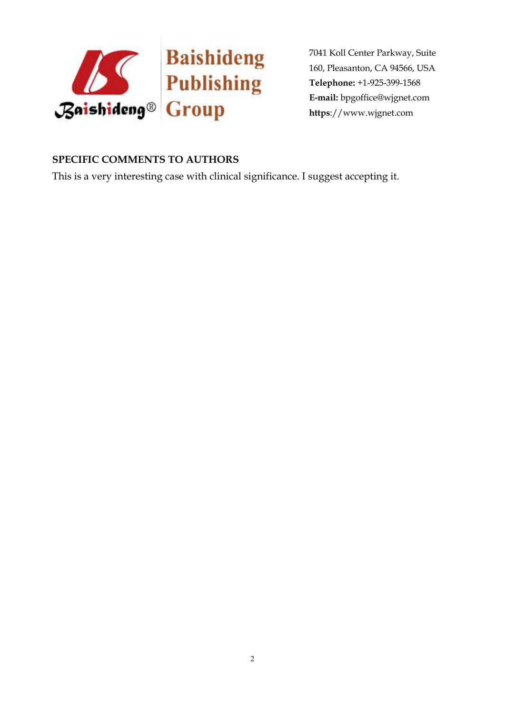

## **SPECIFIC COMMENTS TO AUTHORS**

This is a very interesting case with clinical significance. I suggest accepting it.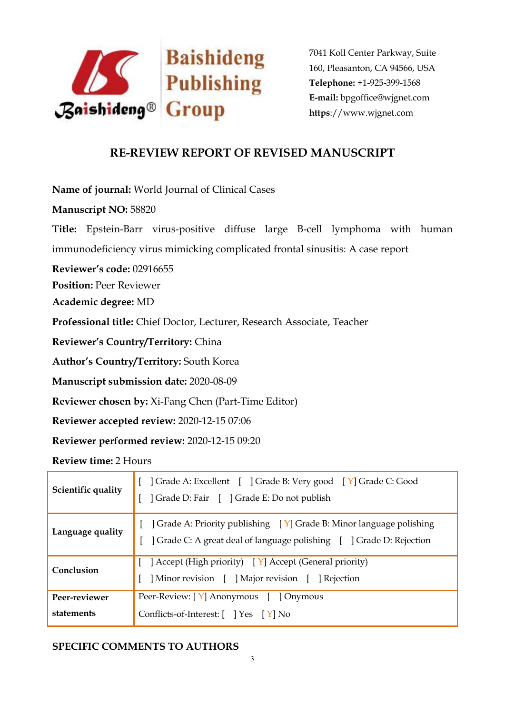

## **RE-REVIEW REPORT OF REVISED MANUSCRIPT**

**Name of journal:** World Journal of Clinical Cases **Manuscript NO:** 58820 **Title:** Epstein-Barr virus-positive diffuse large B-cell lymphoma with human immunodeficiency virus mimicking complicated frontal sinusitis: A case report **Reviewer's code:** 02916655 **Position:** Peer Reviewer **Academic degree:** MD **Professional title:** Chief Doctor, Lecturer, Research Associate, Teacher **Reviewer's Country/Territory:** China **Author's Country/Territory:** South Korea **Manuscript submission date:** 2020-08-09 **Reviewer chosen by:** Xi-Fang Chen (Part-Time Editor) **Reviewer accepted review:** 2020-12-15 07:06 **Reviewer performed review:** 2020-12-15 09:20

**Review time:** 2 Hours

| Crade A: Excellent [ ] Grade B: Very good [ Y] Grade C: Good<br>  Grade D: Fair [ ] Grade E: Do not publish                                              |
|----------------------------------------------------------------------------------------------------------------------------------------------------------|
| $\vert$ Grade A: Priority publishing $\vert$ Y Grade B: Minor language polishing<br>] Grade C: A great deal of language polishing [ ] Grade D: Rejection |
| ] Accept (High priority) [Y] Accept (General priority)<br>Minor revision [ ] Major revision [ ] Rejection                                                |
| Peer-Review: [Y] Anonymous [ ] Onymous<br>Conflicts-of-Interest: [ ] Yes [ Y] No                                                                         |
|                                                                                                                                                          |

## **SPECIFIC COMMENTS TO AUTHORS**